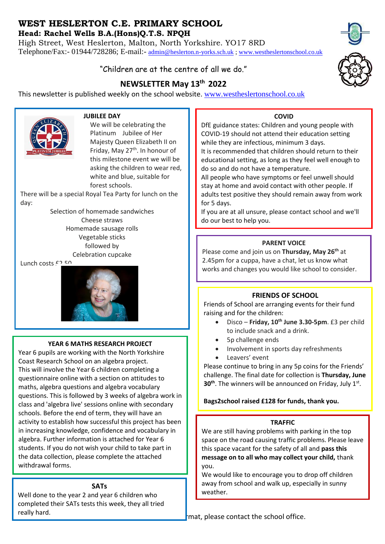# **WEST HESLERTON C.E. PRIMARY SCHOOL**

**Head: Rachel Wells B.A.(Hons)Q.T.S. NPQH**

High Street, West Heslerton, Malton, North Yorkshire. YO17 8RD Telephone/Fax:- 01944/728286; E-mail:- [admin@heslerton.n-yorks.sch.uk](mailto:admin@heslerton.n-yorks.sch.uk) ; [www.westheslertonschool.co.uk](http://www.westheslertonschool.co.uk/)

# "Children are at the centre of all we do."

# **NEWSLETTER May 13th 2022**

This newsletter is published weekly on the school website. [www.westheslertonschool.co.uk](http://www.westheslertonschool.co.uk/)



### **JUBILEE DAY**

We will be celebrating the Platinum Jubilee of Her Majesty Queen Elizabeth II on Friday, May 27<sup>th</sup>. In honour of this milestone event we will be asking the children to wear red, white and blue, suitable for forest schools.

There will be a special Royal Tea Party for lunch on the day:

> Selection of homemade sandwiches Cheese straws Homemade sausage rolls Vegetable sticks followed by Celebration cupcake

Lunch costs  $f^{2}$ 



# **YEAR 6 MATHS RESEARCH PROJECT**

Year 6 pupils are working with the North Yorkshire Coast Research School on an algebra project. This will involve the Year 6 children completing a questionnaire online with a section on attitudes to maths, algebra questions and algebra vocabulary questions. This is followed by 3 weeks of algebra work in class and 'algebra live' sessions online with secondary schools. Before the end of term, they will have an activity to establish how successful this project has been in increasing knowledge, confidence and vocabulary in algebra. Further information is attached for Year 6 students. If you do not wish your child to take part in the data collection, please complete the attached withdrawal forms.

# **SATs**

Well done to the year 2 and year 6 children who completed their SATs tests this week, they all tried really hard.



DfE guidance states: Children and young people with COVID-19 should not attend their education setting while they are infectious, minimum 3 days. It is recommended that children should return to their educational setting, as long as they feel well enough to

do so and do not have a temperature. All people who have symptoms or feel unwell should stay at home and avoid contact with other people. If

adults test positive they should remain away from work for 5 days.

If you are at all unsure, please contact school and we'll do our best to help you.

# **PARENT VOICE**

Please come and join us on **Thursday, May 26th** at 2.45pm for a cuppa, have a chat, let us know what works and changes you would like school to consider.

# **FRIENDS OF SCHOOL**

Friends of School are arranging events for their fund raising and for the children:

- Disco **Friday, 10 th June 3.30-5pm**. £3 per child to include snack and a drink.
- 5p challenge ends
- Involvement in sports day refreshments
- Leavers' event

Please continue to bring in any 5p coins for the Friends' challenge. The final date for collection is **Thursday, June 30<sup>th</sup>**. The winners will be announced on Friday, July 1st.

# **Bags2school raised £128 for funds, thank you.**

# **TRAFFIC**

We are still having problems with parking in the top space on the road causing traffic problems. Please leave this space vacant for the safety of all and **pass this message on to all who may collect your child,** thank you.

We would like to encourage you to drop off children away from school and walk up, especially in sunny weather.

mat, please contact the school office.



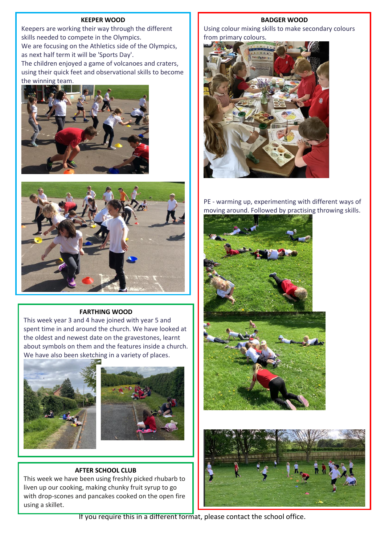#### **KEEPER WOOD**

Keepers are working their way through the different skills needed to compete in the Olympics. We are focusing on the Athletics side of the Olympics, as next half term it will be 'Sports Day'. The children enjoyed a game of volcanoes and craters, using their quick feet and observational skills to become the winning team.





#### **FARTHING WOOD**

This week year 3 and 4 have joined with year 5 and spent time in and around the church. We have looked at the oldest and newest date on the gravestones, learnt about symbols on them and the features inside a church. We have also been sketching in a variety of places.





### **AFTER SCHOOL CLUB**

This week we have been using freshly picked rhubarb to liven up our cooking, making chunky fruit syrup to go with drop-scones and pancakes cooked on the open fire using a skillet.

#### **BADGER WOOD**

Using colour mixing skills to make secondary colours from primary colours.



PE - warming up, experimenting with different ways of moving around. Followed by practising throwing skills.





If you require this in a different format, please contact the school office.